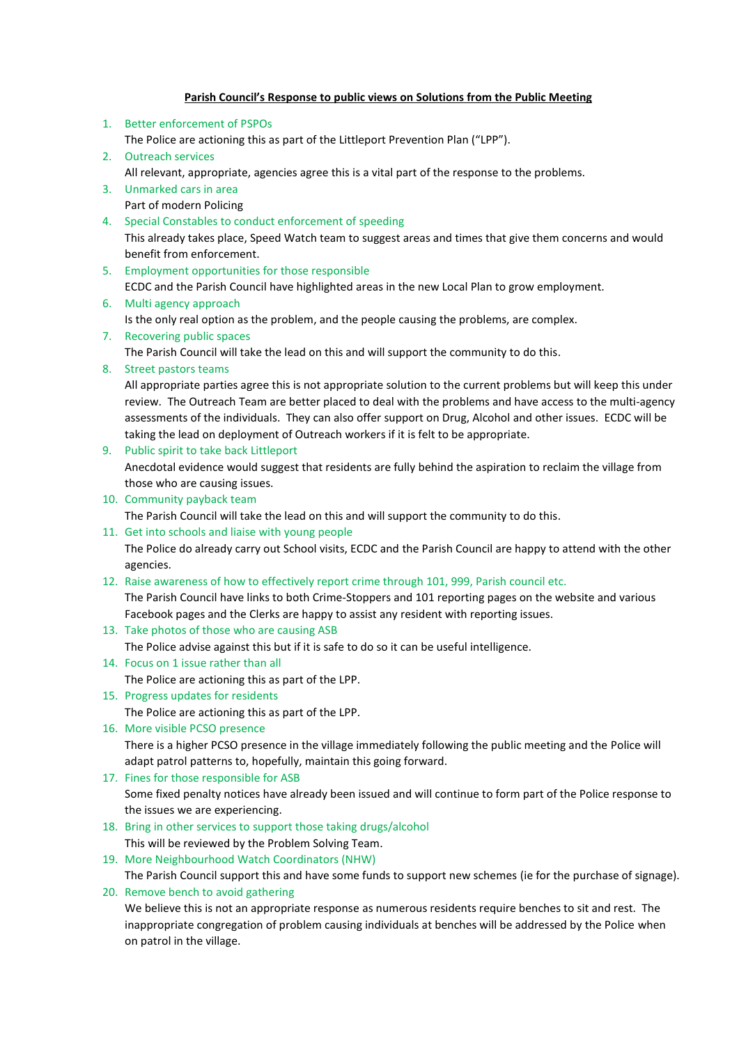## **Parish Council's Response to public views on Solutions from the Public Meeting**

- 1. Better enforcement of PSPOs The Police are actioning this as part of the Littleport Prevention Plan ("LPP").
- 2. Outreach services
- All relevant, appropriate, agencies agree this is a vital part of the response to the problems.
- 3. Unmarked cars in area Part of modern Policing
- 4. Special Constables to conduct enforcement of speeding This already takes place, Speed Watch team to suggest areas and times that give them concerns and would benefit from enforcement.
- 5. Employment opportunities for those responsible ECDC and the Parish Council have highlighted areas in the new Local Plan to grow employment.
- 6. Multi agency approach
	- Is the only real option as the problem, and the people causing the problems, are complex.
- 7. Recovering public spaces

The Parish Council will take the lead on this and will support the community to do this.

8. Street pastors teams

All appropriate parties agree this is not appropriate solution to the current problems but will keep this under review. The Outreach Team are better placed to deal with the problems and have access to the multi-agency assessments of the individuals. They can also offer support on Drug, Alcohol and other issues. ECDC will be taking the lead on deployment of Outreach workers if it is felt to be appropriate.

9. Public spirit to take back Littleport

Anecdotal evidence would suggest that residents are fully behind the aspiration to reclaim the village from those who are causing issues.

10. Community payback team

The Parish Council will take the lead on this and will support the community to do this.

11. Get into schools and liaise with young people

The Police do already carry out School visits, ECDC and the Parish Council are happy to attend with the other agencies.

12. Raise awareness of how to effectively report crime through 101, 999, Parish council etc.

The Parish Council have links to both Crime-Stoppers and 101 reporting pages on the website and various Facebook pages and the Clerks are happy to assist any resident with reporting issues.

13. Take photos of those who are causing ASB

The Police advise against this but if it is safe to do so it can be useful intelligence.

14. Focus on 1 issue rather than all

The Police are actioning this as part of the LPP.

15. Progress updates for residents

The Police are actioning this as part of the LPP.

16. More visible PCSO presence

There is a higher PCSO presence in the village immediately following the public meeting and the Police will adapt patrol patterns to, hopefully, maintain this going forward.

17. Fines for those responsible for ASB

Some fixed penalty notices have already been issued and will continue to form part of the Police response to the issues we are experiencing.

- 18. Bring in other services to support those taking drugs/alcohol This will be reviewed by the Problem Solving Team.
- 19. More Neighbourhood Watch Coordinators (NHW)

The Parish Council support this and have some funds to support new schemes (ie for the purchase of signage).

20. Remove bench to avoid gathering

We believe this is not an appropriate response as numerous residents require benches to sit and rest. The inappropriate congregation of problem causing individuals at benches will be addressed by the Police when on patrol in the village.